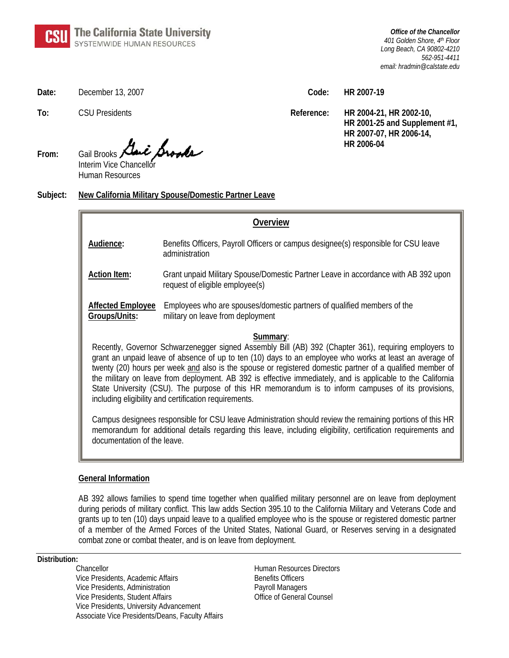*Office of the Chancellor 401 Golden Shore, 4th Floor Long Beach, CA 90802-4210 562-951-4411 email: hradmin@calstate.edu*

**Date:** December 13, 2007 **Code: HR 2007-19** 

 $A \cdot A$ **From:** Gail Brooks Interim Vice Chancellor

Human Resources

**Subject: New California Military Spouse/Domestic Partner Leave**

| Overview                                                                                                                                                                                                                                                                                                                                                                                                                                                                                                                                                                                                                |                                                                                                                       |
|-------------------------------------------------------------------------------------------------------------------------------------------------------------------------------------------------------------------------------------------------------------------------------------------------------------------------------------------------------------------------------------------------------------------------------------------------------------------------------------------------------------------------------------------------------------------------------------------------------------------------|-----------------------------------------------------------------------------------------------------------------------|
| Audience:                                                                                                                                                                                                                                                                                                                                                                                                                                                                                                                                                                                                               | Benefits Officers, Payroll Officers or campus designee(s) responsible for CSU leave<br>administration                 |
| <b>Action Item:</b>                                                                                                                                                                                                                                                                                                                                                                                                                                                                                                                                                                                                     | Grant unpaid Military Spouse/Domestic Partner Leave in accordance with AB 392 upon<br>request of eligible employee(s) |
| <b>Affected Employee</b><br>Groups/Units:                                                                                                                                                                                                                                                                                                                                                                                                                                                                                                                                                                               | Employees who are spouses/domestic partners of qualified members of the<br>military on leave from deployment          |
| Summary:<br>Recently, Governor Schwarzenegger signed Assembly Bill (AB) 392 (Chapter 361), requiring employers to<br>grant an unpaid leave of absence of up to ten (10) days to an employee who works at least an average of<br>twenty (20) hours per week and also is the spouse or registered domestic partner of a qualified member of<br>the military on leave from deployment. AB 392 is effective immediately, and is applicable to the California<br>State University (CSU). The purpose of this HR memorandum is to inform campuses of its provisions,<br>including eligibility and certification requirements. |                                                                                                                       |
| Campus designees responsible for CSU leave Administration should review the remaining portions of this HR<br>memorandum for additional details regarding this leave, including eligibility, certification requirements and<br>documentation of the leave.                                                                                                                                                                                                                                                                                                                                                               |                                                                                                                       |

## **General Information**

AB 392 allows families to spend time together when qualified military personnel are on leave from deployment during periods of military conflict. This law adds Section 395.10 to the California Military and Veterans Code and grants up to ten (10) days unpaid leave to a qualified employee who is the spouse or registered domestic partner of a member of the Armed Forces of the United States, National Guard, or Reserves serving in a designated combat zone or combat theater, and is on leave from deployment.

## **Distribution:**

Vice Presidents, Academic Affairs Benefits Officers Vice Presidents, Administration example and payroll Managers Vice Presidents, Student Affairs **Office of General Counsel** Vice Presidents, University Advancement Associate Vice Presidents/Deans, Faculty Affairs

Chancellor **Chancellor** Chancellor **Chancellor Human Resources Directors** 

**To:** CSU Presidents **Reference: HR 2004-21, HR 2002-10, HR 2001-25 and Supplement #1, HR 2007-07, HR 2006-14,**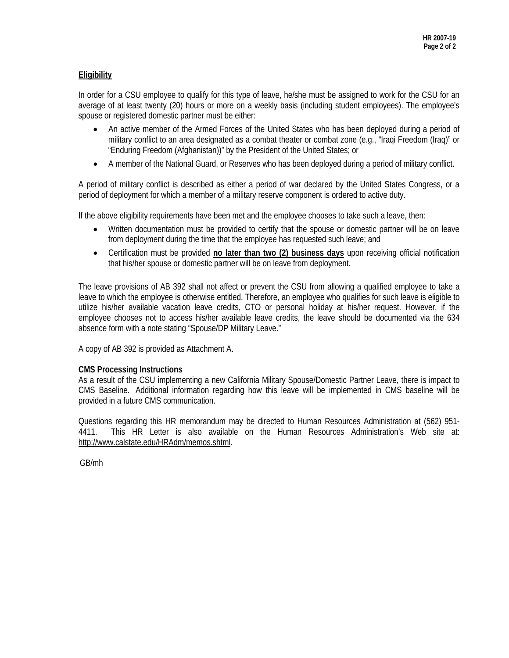# **Eligibility**

In order for a CSU employee to qualify for this type of leave, he/she must be assigned to work for the CSU for an average of at least twenty (20) hours or more on a weekly basis (including student employees). The employee's spouse or registered domestic partner must be either:

- An active member of the Armed Forces of the United States who has been deployed during a period of military conflict to an area designated as a combat theater or combat zone (e.g., "Iraqi Freedom (Iraq)" or "Enduring Freedom (Afghanistan))" by the President of the United States; or
- A member of the National Guard, or Reserves who has been deployed during a period of military conflict.

A period of military conflict is described as either a period of war declared by the United States Congress, or a period of deployment for which a member of a military reserve component is ordered to active duty.

If the above eligibility requirements have been met and the employee chooses to take such a leave, then:

- Written documentation must be provided to certify that the spouse or domestic partner will be on leave from deployment during the time that the employee has requested such leave; and
- Certification must be provided **no later than two (2) business days** upon receiving official notification that his/her spouse or domestic partner will be on leave from deployment.

The leave provisions of AB 392 shall not affect or prevent the CSU from allowing a qualified employee to take a leave to which the employee is otherwise entitled. Therefore, an employee who qualifies for such leave is eligible to utilize his/her available vacation leave credits, CTO or personal holiday at his/her request. However, if the employee chooses not to access his/her available leave credits, the leave should be documented via the 634 absence form with a note stating "Spouse/DP Military Leave."

A copy of AB 392 is provided as Attachment A.

## **CMS Processing Instructions**

As a result of the CSU implementing a new California Military Spouse/Domestic Partner Leave, there is impact to CMS Baseline. Additional information regarding how this leave will be implemented in CMS baseline will be provided in a future CMS communication.

Questions regarding this HR memorandum may be directed to Human Resources Administration at (562) 951- 4411. This HR Letter is also available on the Human Resources Administration's Web site at: <http://www.calstate.edu/HRAdm/memos.shtml>.

GB/mh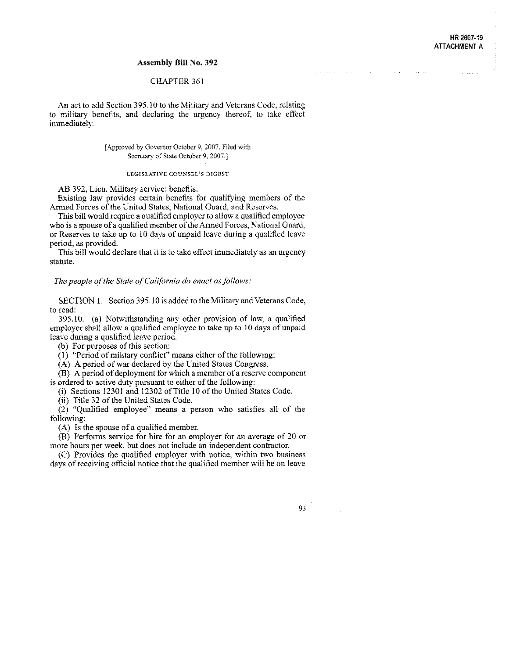#### HR 2007-19 **ATTACHMENT A**

a construction of the company of the construction of the construction of the construction of the construction of the construction of the construction of the construction of the construction of the construction of the const

### **Assembly Bill No. 392**

## CHAPTER 361

An act to add Section 395.10 to the Military and Veterans Code, relating to military benefits, and declaring the urgency thereof, to take effect immediately.

#### [Approved by Governor October 9, 2007. Filed with Secretary of State October 9, 2007.]

#### LEGISLATIVE COUNSEL'S DIGEST

AB 392. Lieu. Military service: benefits.

Existing law provides certain benefits for qualifying members of the Armed Forces of the United States, National Guard, and Reserves.

This bill would require a qualified employer to allow a qualified employee who is a spouse of a qualified member of the Armed Forces, National Guard, or Reserves to take up to 10 days of unpaid leave during a qualified leave period, as provided.

This bill would declare that it is to take effect immediately as an urgency statute.

The people of the State of California do enact as follows:

SECTION 1. Section 395.10 is added to the Military and Veterans Code, to read:

395.10. (a) Notwithstanding any other provision of law, a qualified employer shall allow a qualified employee to take up to 10 days of unpaid leave during a qualified leave period.

(b) For purposes of this section:

 $(1)$  "Period of military conflict" means either of the following:

(A) A period of war declared by the United States Congress.

(B) A period of deployment for which a member of a reserve component is ordered to active duty pursuant to either of the following.

(i) Sections 12301 and 12302 of Title 10 of the United States Code.

(ii) Title 32 of the United States Code.

 $(2)$  "Qualified employee" means a person who satisfies all of the following:

(A) Is the spouse of a qualified member.

(B) Performs service for hire for an employer for an average of 20 or more hours per week, but does not include an independent contractor.

(C) Provides the qualified employer with notice, within two business days of receiving official notice that the qualified member will be on leave